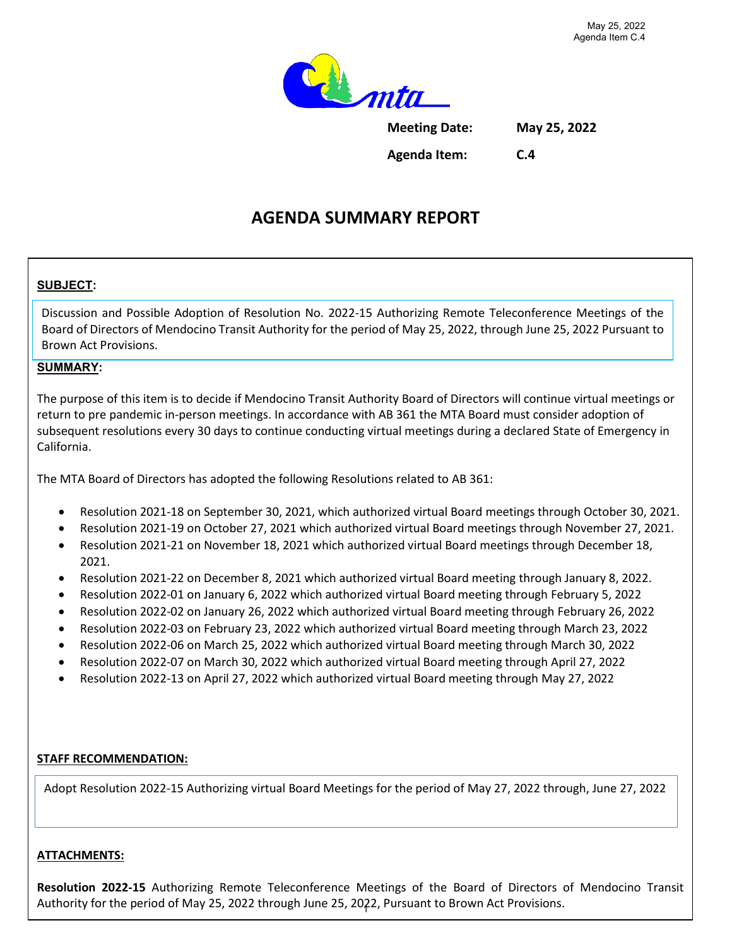

**Meeting Date: May 25, 2022**

**Agenda Item: C.4**

# **AGENDA SUMMARY REPORT**

### **SUBJECT:**

Discussion and Possible Adoption of Resolution No. 2022-15 Authorizing Remote Teleconference Meetings of the Board of Directors of Mendocino Transit Authority for the period of May 25, 2022, through June 25, 2022 Pursuant to Brown Act Provisions.

#### **SUMMARY:**

The purpose of this item is to decide if Mendocino Transit Authority Board of Directors will continue virtual meetings or return to pre pandemic in-person meetings. In accordance with AB 361 the MTA Board must consider adoption of subsequent resolutions every 30 days to continue conducting virtual meetings during a declared State of Emergency in California.

The MTA Board of Directors has adopted the following Resolutions related to AB 361:

- Resolution 2021-18 on September 30, 2021, which authorized virtual Board meetings through October 30, 2021.
- Resolution 2021-19 on October 27, 2021 which authorized virtual Board meetings through November 27, 2021.
- Resolution 2021-21 on November 18, 2021 which authorized virtual Board meetings through December 18, 2021.
- Resolution 2021-22 on December 8, 2021 which authorized virtual Board meeting through January 8, 2022.
- Resolution 2022-01 on January 6, 2022 which authorized virtual Board meeting through February 5, 2022
- Resolution 2022-02 on January 26, 2022 which authorized virtual Board meeting through February 26, 2022
- Resolution 2022-03 on February 23, 2022 which authorized virtual Board meeting through March 23, 2022
- Resolution 2022-06 on March 25, 2022 which authorized virtual Board meeting through March 30, 2022
- Resolution 2022-07 on March 30, 2022 which authorized virtual Board meeting through April 27, 2022
- Resolution 2022-13 on April 27, 2022 which authorized virtual Board meeting through May 27, 2022

#### **STAFF RECOMMENDATION:**

Adopt Resolution 2022-15 Authorizing virtual Board Meetings for the period of May 27, 2022 through, June 27, 2022

#### **ATTACHMENTS:**

**Resolution 2022-15** Authorizing Remote Teleconference Meetings of the Board of Directors of Mendocino Transit Authority for the period of May 25, 2022 through June 25, 2022, Pursuant to Brown Act Provisions.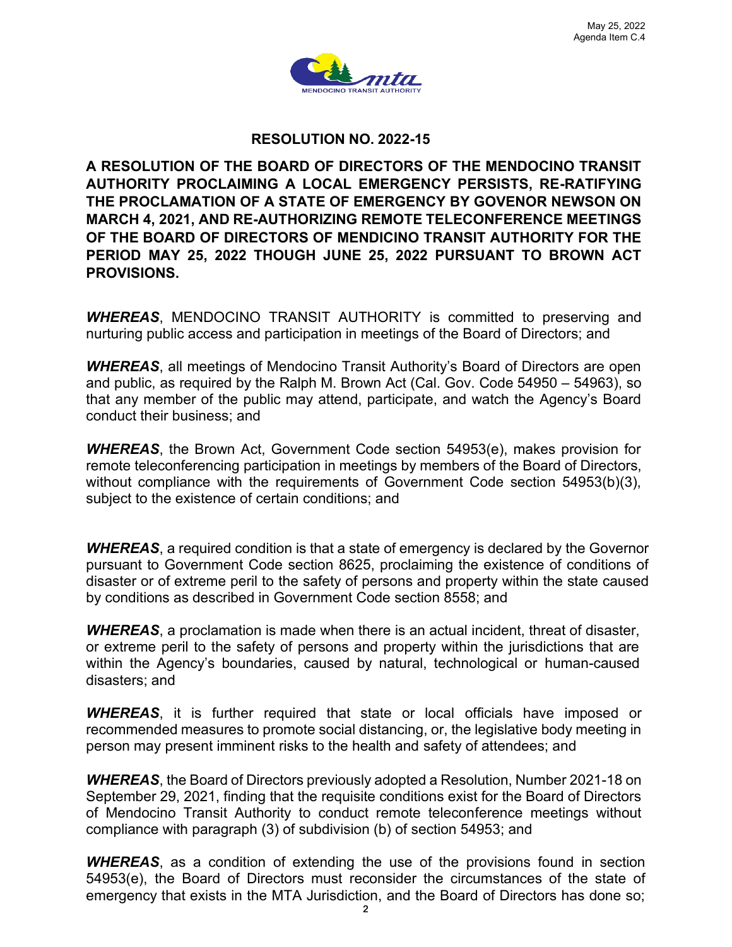

#### **RESOLUTION NO. 2022-15**

**A RESOLUTION OF THE BOARD OF DIRECTORS OF THE MENDOCINO TRANSIT AUTHORITY PROCLAIMING A LOCAL EMERGENCY PERSISTS, RE-RATIFYING THE PROCLAMATION OF A STATE OF EMERGENCY BY GOVENOR NEWSON ON MARCH 4, 2021, AND RE-AUTHORIZING REMOTE TELECONFERENCE MEETINGS OF THE BOARD OF DIRECTORS OF MENDICINO TRANSIT AUTHORITY FOR THE PERIOD MAY 25, 2022 THOUGH JUNE 25, 2022 PURSUANT TO BROWN ACT PROVISIONS.**

*WHEREAS*, MENDOCINO TRANSIT AUTHORITY is committed to preserving and nurturing public access and participation in meetings of the Board of Directors; and

*WHEREAS*, all meetings of Mendocino Transit Authority's Board of Directors are open and public, as required by the Ralph M. Brown Act (Cal. Gov. Code 54950 – 54963), so that any member of the public may attend, participate, and watch the Agency's Board conduct their business; and

*WHEREAS*, the Brown Act, Government Code section 54953(e), makes provision for remote teleconferencing participation in meetings by members of the Board of Directors, without compliance with the requirements of Government Code section 54953(b)(3), subject to the existence of certain conditions; and

*WHEREAS*, a required condition is that a state of emergency is declared by the Governor pursuant to Government Code section 8625, proclaiming the existence of conditions of disaster or of extreme peril to the safety of persons and property within the state caused by conditions as described in Government Code section 8558; and

*WHEREAS*, a proclamation is made when there is an actual incident, threat of disaster, or extreme peril to the safety of persons and property within the jurisdictions that are within the Agency's boundaries, caused by natural, technological or human-caused disasters; and

*WHEREAS*, it is further required that state or local officials have imposed or recommended measures to promote social distancing, or, the legislative body meeting in person may present imminent risks to the health and safety of attendees; and

*WHEREAS*, the Board of Directors previously adopted a Resolution, Number 2021-18 on September 29, 2021, finding that the requisite conditions exist for the Board of Directors of Mendocino Transit Authority to conduct remote teleconference meetings without compliance with paragraph (3) of subdivision (b) of section 54953; and

*WHEREAS*, as a condition of extending the use of the provisions found in section 54953(e), the Board of Directors must reconsider the circumstances of the state of emergency that exists in the MTA Jurisdiction, and the Board of Directors has done so;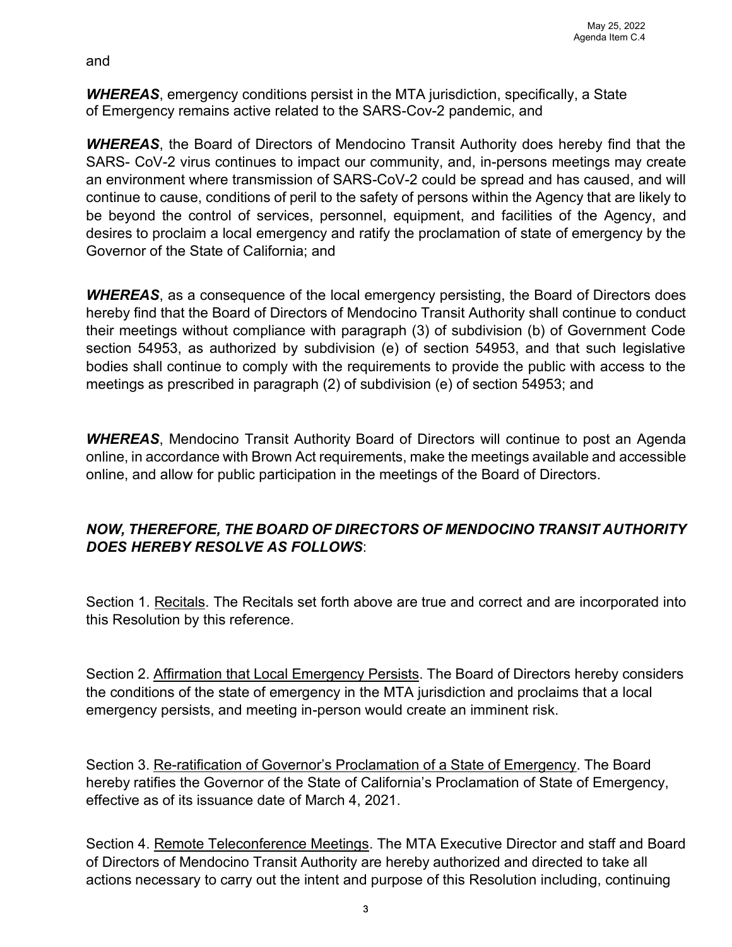and

*WHEREAS*, emergency conditions persist in the MTA jurisdiction, specifically, a State of Emergency remains active related to the SARS-Cov-2 pandemic, and

*WHEREAS*, the Board of Directors of Mendocino Transit Authority does hereby find that the SARS- CoV-2 virus continues to impact our community, and, in-persons meetings may create an environment where transmission of SARS-CoV-2 could be spread and has caused, and will continue to cause, conditions of peril to the safety of persons within the Agency that are likely to be beyond the control of services, personnel, equipment, and facilities of the Agency, and desires to proclaim a local emergency and ratify the proclamation of state of emergency by the Governor of the State of California; and

*WHEREAS*, as a consequence of the local emergency persisting, the Board of Directors does hereby find that the Board of Directors of Mendocino Transit Authority shall continue to conduct their meetings without compliance with paragraph (3) of subdivision (b) of Government Code section 54953, as authorized by subdivision (e) of section 54953, and that such legislative bodies shall continue to comply with the requirements to provide the public with access to the meetings as prescribed in paragraph (2) of subdivision (e) of section 54953; and

*WHEREAS*, Mendocino Transit Authority Board of Directors will continue to post an Agenda online, in accordance with Brown Act requirements, make the meetings available and accessible online, and allow for public participation in the meetings of the Board of Directors.

## *NOW, THEREFORE, THE BOARD OF DIRECTORS OF MENDOCINO TRANSIT AUTHORITY DOES HEREBY RESOLVE AS FOLLOWS*:

Section 1. Recitals. The Recitals set forth above are true and correct and are incorporated into this Resolution by this reference.

Section 2. Affirmation that Local Emergency Persists. The Board of Directors hereby considers the conditions of the state of emergency in the MTA jurisdiction and proclaims that a local emergency persists, and meeting in-person would create an imminent risk.

Section 3. Re-ratification of Governor's Proclamation of a State of Emergency. The Board hereby ratifies the Governor of the State of California's Proclamation of State of Emergency, effective as of its issuance date of March 4, 2021.

Section 4. Remote Teleconference Meetings. The MTA Executive Director and staff and Board of Directors of Mendocino Transit Authority are hereby authorized and directed to take all actions necessary to carry out the intent and purpose of this Resolution including, continuing